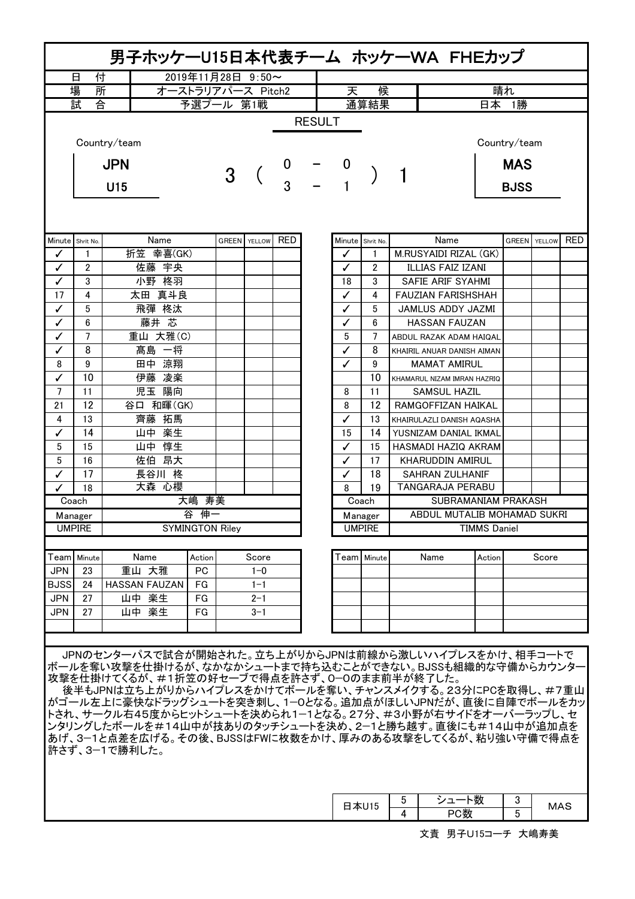|                                                                                                                       |               | 男子ホッケーU15日本代表チーム ホッケーWA FHEカップ                           |                   |  |                     |            |               |                  |                                                    |                       |                                        |                 |              |        |            |  |
|-----------------------------------------------------------------------------------------------------------------------|---------------|----------------------------------------------------------|-------------------|--|---------------------|------------|---------------|------------------|----------------------------------------------------|-----------------------|----------------------------------------|-----------------|--------------|--------|------------|--|
| 付<br>2019年11月28日 9:50~<br>日                                                                                           |               |                                                          |                   |  |                     |            |               |                  | 候<br>天                                             |                       |                                        |                 |              |        |            |  |
|                                                                                                                       | 場<br>所        |                                                          | オーストラリアパース Pitch2 |  |                     |            |               |                  |                                                    |                       | 晴れ                                     |                 |              |        |            |  |
| 試<br>合                                                                                                                |               |                                                          |                   |  | 予選プール 第1戦           |            |               |                  | 通算結果                                               |                       | 日本 1勝                                  |                 |              |        |            |  |
|                                                                                                                       |               | Country/team                                             |                   |  |                     |            | <b>RESULT</b> |                  |                                                    |                       |                                        |                 | Country/team |        |            |  |
|                                                                                                                       |               | <b>JPN</b>                                               |                   |  |                     |            |               |                  |                                                    |                       |                                        | <b>MAS</b>      |              |        |            |  |
|                                                                                                                       |               |                                                          |                   |  |                     | 3<br>3     |               |                  |                                                    |                       |                                        |                 |              |        |            |  |
|                                                                                                                       |               | U15                                                      |                   |  |                     |            |               |                  |                                                    |                       |                                        | <b>BJSS</b>     |              |        |            |  |
|                                                                                                                       |               |                                                          |                   |  |                     |            |               |                  |                                                    |                       |                                        |                 |              |        |            |  |
| Minute Shrit No.                                                                                                      |               | Name                                                     |                   |  | <b>GREEN</b> YELLOW | <b>RED</b> |               | Minute Shrit No. |                                                    |                       | Name                                   |                 | <b>GREEN</b> | YELLOW | <b>RED</b> |  |
| ✓                                                                                                                     | 1             | 折笠 幸喜(GK)<br>佐藤 宇央                                       |                   |  |                     |            |               | ✓                | 1                                                  |                       | M.RUSYAIDI RIZAL (GK)                  |                 |              |        |            |  |
| ✓<br>$\checkmark$                                                                                                     | 2<br>3        | 小野 柊羽                                                    |                   |  |                     |            |               | ✓<br>18          | 2<br>3                                             |                       | ILLIAS FAIZ IZANI<br>SAFIE ARIF SYAHMI |                 |              |        |            |  |
| 17                                                                                                                    | 4             | 太田 真斗良                                                   |                   |  |                     |            |               | ✓                | 4                                                  |                       | FAUZIAN FARISHSHAH                     |                 |              |        |            |  |
| ✓                                                                                                                     | 5             | 飛彈 柊汰                                                    |                   |  |                     |            |               | ✓                | 5                                                  |                       | JAMLUS ADDY JAZMI                      |                 |              |        |            |  |
| ✓                                                                                                                     | 6             | 藤井 芯                                                     |                   |  |                     |            |               | ✓                | 6                                                  |                       | <b>HASSAN FAUZAN</b>                   |                 |              |        |            |  |
| ✓                                                                                                                     | 7             | 重山 大雅(C)                                                 |                   |  |                     |            |               | 5                | 7                                                  |                       | ABDUL RAZAK ADAM HAIQAL                |                 |              |        |            |  |
| $\checkmark$                                                                                                          | 8             | 髙島 一将                                                    |                   |  |                     |            |               | ✓                | 8                                                  |                       | KHAIRIL ANUAR DANISH AIMAN             |                 |              |        |            |  |
| 8                                                                                                                     | 9             | 田中 涼翔                                                    |                   |  |                     |            |               | ✓                | 9                                                  |                       | <b>MAMAT AMIRUL</b>                    |                 |              |        |            |  |
| $\checkmark$                                                                                                          | 10            | 伊藤 凌楽                                                    |                   |  |                     |            |               |                  | 10                                                 |                       | KHAMARUL NIZAM IMRAN HAZRIQ            |                 |              |        |            |  |
| $\overline{7}$                                                                                                        | 11            | 児玉 陽向                                                    |                   |  |                     |            |               | 8                | 11                                                 |                       | <b>SAMSUL HAZIL</b>                    |                 |              |        |            |  |
| 21                                                                                                                    | 12            | 谷口 和暉(GK)                                                |                   |  |                     |            |               | 8                | 12                                                 |                       | RAMGOFFIZAN HAIKAL                     |                 |              |        |            |  |
| 4                                                                                                                     | 13            | 齊藤 拓馬                                                    |                   |  |                     |            |               | ✓                | 13                                                 |                       | KHAIRULAZLI DANISH AQASHA              |                 |              |        |            |  |
| ✓                                                                                                                     | 14            | 山中 楽生                                                    |                   |  |                     |            | 15            | 14               |                                                    | YUSNIZAM DANIAL IKMAL |                                        |                 |              |        |            |  |
| 5                                                                                                                     | 15            | 山中 惇生                                                    |                   |  |                     |            |               | ✓                | 15                                                 |                       | <b>HASMADI HAZIQ AKRAM</b>             |                 |              |        |            |  |
| 5                                                                                                                     | 16            | 佐伯 昂大                                                    |                   |  |                     |            | ✓             | 17               | KHARUDDIN AMIRUL                                   |                       |                                        |                 |              |        |            |  |
| ✓                                                                                                                     | 17            | 長谷川 柊                                                    |                   |  |                     |            |               | $\checkmark$     | 18                                                 |                       | <b>SAHRAN ZULHANIF</b>                 |                 |              |        |            |  |
| ✓                                                                                                                     | 18            | 大森心櫻                                                     | 大嶋 寿美             |  |                     |            |               | 8                | 19                                                 |                       | <b>TANGARAJA PERABU</b>                |                 |              |        |            |  |
| Coach                                                                                                                 |               |                                                          |                   |  |                     |            | Coach         |                  | SUBRAMANIAM PRAKASH<br>ABDUL MUTALIB MOHAMAD SUKRI |                       |                                        |                 |              |        |            |  |
| Manager                                                                                                               | <b>UMPIRE</b> | 谷<br>伸一<br><b>SYMINGTON Riley</b>                        |                   |  |                     |            |               |                  | Manager<br><b>UMPIRE</b>                           | <b>TIMMS Daniel</b>   |                                        |                 |              |        |            |  |
|                                                                                                                       |               |                                                          |                   |  |                     |            |               |                  |                                                    |                       |                                        |                 |              |        |            |  |
| Teaml                                                                                                                 | Minute        | Name                                                     | Action            |  | Score               |            |               |                  | Team   Minute                                      |                       | Name                                   | Action          |              | Score  |            |  |
| <b>JPN</b>                                                                                                            | 23            | 重山 大雅                                                    | PC                |  | $1 - 0$             |            |               |                  |                                                    |                       |                                        |                 |              |        |            |  |
| <b>BJSS</b>                                                                                                           | 24            | <b>HASSAN FAUZAN</b>                                     | FG                |  | $1 - 1$             |            |               |                  |                                                    |                       |                                        |                 |              |        |            |  |
| <b>JPN</b>                                                                                                            | 27            | 山中 楽生                                                    | FG                |  | $2 - 1$             |            |               |                  |                                                    |                       |                                        |                 |              |        |            |  |
| <b>JPN</b>                                                                                                            | 27            | 山中 楽生                                                    | FG                |  | $3 - 1$             |            |               |                  |                                                    |                       |                                        |                 |              |        |            |  |
|                                                                                                                       |               |                                                          |                   |  |                     |            |               |                  |                                                    |                       |                                        |                 |              |        |            |  |
|                                                                                                                       |               |                                                          |                   |  |                     |            |               |                  |                                                    |                       |                                        |                 |              |        |            |  |
|                                                                                                                       |               | JPNのセンターパスで試合が開始された。立ち上がりからJPNは前線から激しいハイプレスをかけ、相手コートで    |                   |  |                     |            |               |                  |                                                    |                       |                                        |                 |              |        |            |  |
|                                                                                                                       |               | ボールを奪い攻撃を仕掛けるが、なかなかシュートまで持ち込むことができない。BJSSも組織的な守備からカウンター  |                   |  |                     |            |               |                  |                                                    |                       |                                        |                 |              |        |            |  |
|                                                                                                                       |               | 攻撃を仕掛けてくるが、#1折笠の好セーブで得点を許さず、0-0のまま前半が終了した。               |                   |  |                     |            |               |                  |                                                    |                       |                                        |                 |              |        |            |  |
|                                                                                                                       |               | 後半もJPNは立ち上がりからハイプレスをかけてボールを奪い、チャンスメイクする。23分にPCを取得し、#7重山  |                   |  |                     |            |               |                  |                                                    |                       |                                        |                 |              |        |            |  |
| がゴール左上に豪快なドラッグシュートを突き刺し、1−0となる。追加点がほしいJPNだが、直後に自陣でボールをカッ<br>トされ、サークル右45度からヒットシュートを決められ1-1となる。27分、#3小野が右サイドをオーバーラップし、セ |               |                                                          |                   |  |                     |            |               |                  |                                                    |                       |                                        |                 |              |        |            |  |
|                                                                                                                       |               | ンタリングしたボールを#14山中が技ありのタッチシュートを決め、2-1と勝ち越す。直後にも#14山中が追加点を  |                   |  |                     |            |               |                  |                                                    |                       |                                        |                 |              |        |            |  |
|                                                                                                                       |               | あげ、3-1と点差を広げる。その後、BJSSはFWに枚数をかけ、厚みのある攻撃をしてくるが、粘り強い守備で得点を |                   |  |                     |            |               |                  |                                                    |                       |                                        |                 |              |        |            |  |
| 許さず、3−1で勝利した。                                                                                                         |               |                                                          |                   |  |                     |            |               |                  |                                                    |                       |                                        |                 |              |        |            |  |
|                                                                                                                       |               |                                                          |                   |  |                     |            |               |                  |                                                    |                       |                                        |                 |              |        |            |  |
|                                                                                                                       |               |                                                          |                   |  |                     |            |               |                  |                                                    |                       |                                        |                 |              |        |            |  |
|                                                                                                                       |               |                                                          |                   |  |                     |            |               |                  |                                                    | 5                     | シュート数                                  |                 | 3            |        |            |  |
|                                                                                                                       |               |                                                          |                   |  |                     |            |               | 日本U15<br>4       |                                                    |                       | PC数                                    | <b>MAS</b><br>5 |              |        |            |  |
|                                                                                                                       |               |                                                          |                   |  |                     |            |               |                  |                                                    |                       |                                        |                 |              |        |            |  |
|                                                                                                                       |               |                                                          |                   |  |                     |            |               |                  |                                                    |                       | 文責 男子U15コーチ 大嶋寿美                       |                 |              |        |            |  |

Г